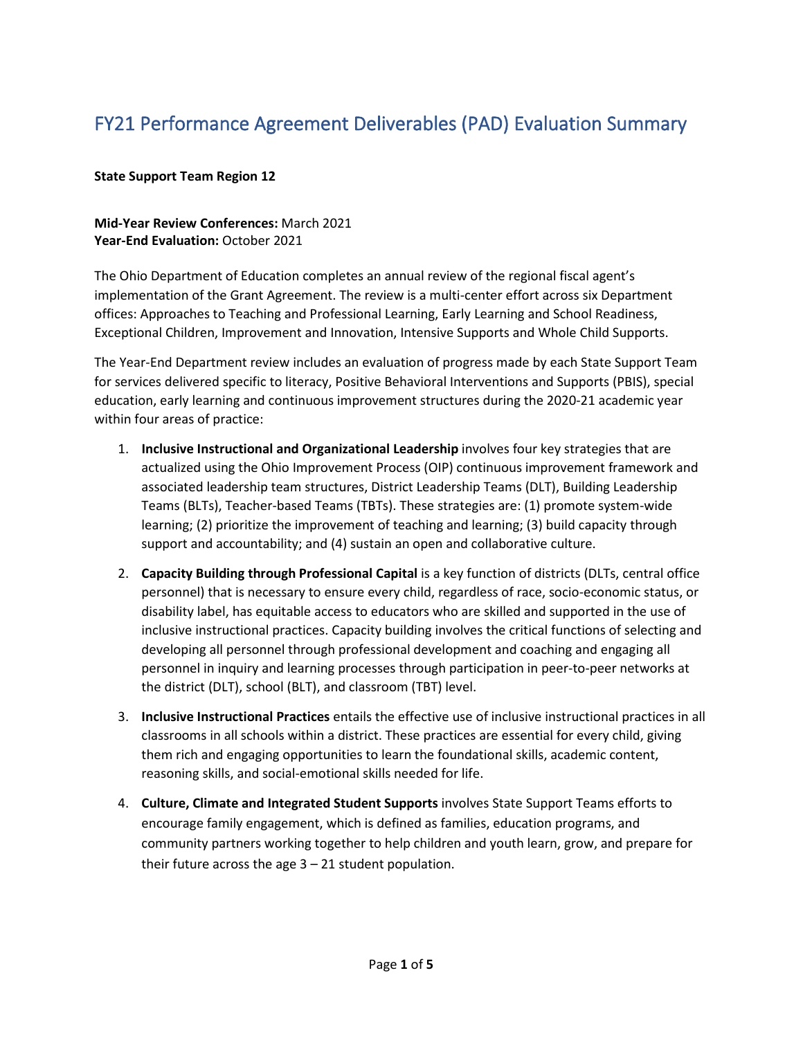# FY21 Performance Agreement Deliverables (PAD) Evaluation Summary

### **State Support Team Region 12**

#### **Mid-Year Review Conferences:** March 2021 **Year-End Evaluation:** October 2021

The Ohio Department of Education completes an annual review of the regional fiscal agent's implementation of the Grant Agreement. The review is a multi-center effort across six Department offices: Approaches to Teaching and Professional Learning, Early Learning and School Readiness, Exceptional Children, Improvement and Innovation, Intensive Supports and Whole Child Supports.

The Year-End Department review includes an evaluation of progress made by each State Support Team for services delivered specific to literacy, Positive Behavioral Interventions and Supports (PBIS), special education, early learning and continuous improvement structures during the 2020-21 academic year within four areas of practice:

- 1. **Inclusive Instructional and Organizational Leadership** involves four key strategies that are actualized using the Ohio Improvement Process (OIP) continuous improvement framework and associated leadership team structures, District Leadership Teams (DLT), Building Leadership Teams (BLTs), Teacher-based Teams (TBTs). These strategies are: (1) promote system-wide learning; (2) prioritize the improvement of teaching and learning; (3) build capacity through support and accountability; and (4) sustain an open and collaborative culture.
- 2. **Capacity Building through Professional Capital** is a key function of districts (DLTs, central office personnel) that is necessary to ensure every child, regardless of race, socio-economic status, or disability label, has equitable access to educators who are skilled and supported in the use of inclusive instructional practices. Capacity building involves the critical functions of selecting and developing all personnel through professional development and coaching and engaging all personnel in inquiry and learning processes through participation in peer-to-peer networks at the district (DLT), school (BLT), and classroom (TBT) level.
- 3. **Inclusive Instructional Practices** entails the effective use of inclusive instructional practices in all classrooms in all schools within a district. These practices are essential for every child, giving them rich and engaging opportunities to learn the foundational skills, academic content, reasoning skills, and social-emotional skills needed for life.
- 4. **Culture, Climate and Integrated Student Supports** involves State Support Teams efforts to encourage family engagement, which is defined as families, education programs, and community partners working together to help children and youth learn, grow, and prepare for their future across the age 3 – 21 student population.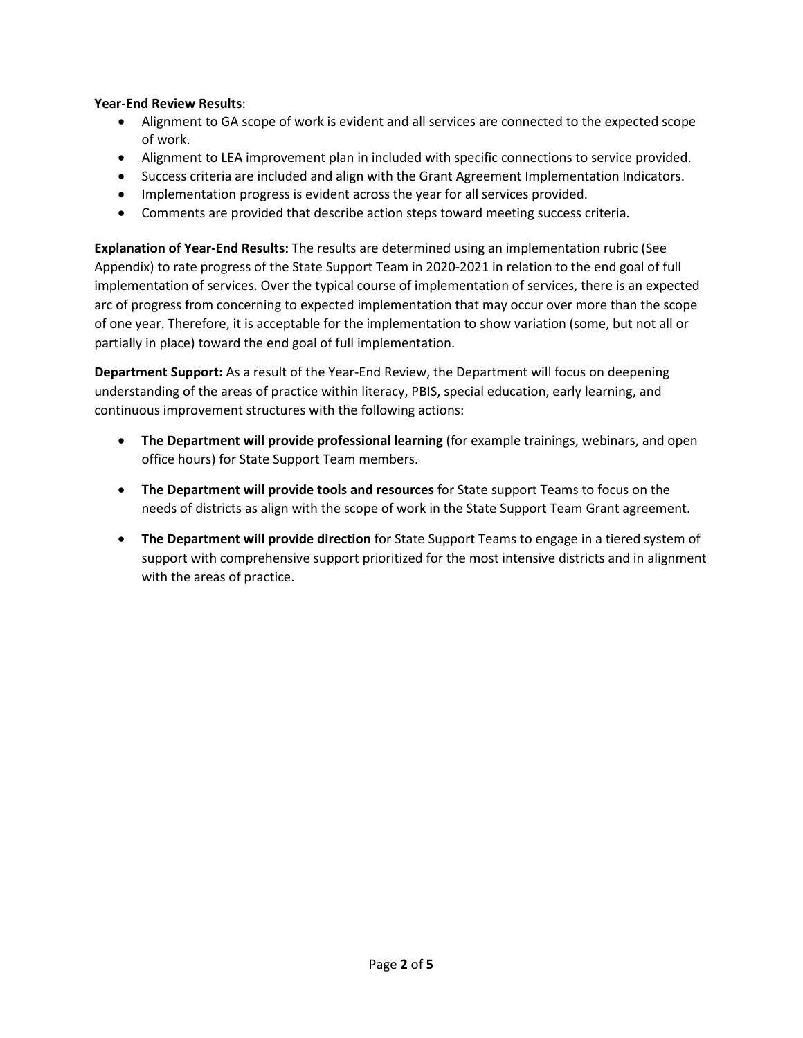#### **Year-End Review Results**:

- Alignment to GA scope of work is evident and all services are connected to the expected scope of work.
- Alignment to LEA improvement plan in included with specific connections to service provided.
- Success criteria are included and align with the Grant Agreement Implementation Indicators.
- Implementation progress is evident across the year for all services provided.
- Comments are provided that describe action steps toward meeting success criteria.

**Explanation of Year-End Results:** The results are determined using an implementation rubric (See Appendix) to rate progress of the State Support Team in 2020-2021 in relation to the end goal of full implementation of services. Over the typical course of implementation of services, there is an expected arc of progress from concerning to expected implementation that may occur over more than the scope of one year. Therefore, it is acceptable for the implementation to show variation (some, but not all or partially in place) toward the end goal of full implementation.

**Department Support:** As a result of the Year-End Review, the Department will focus on deepening understanding of the areas of practice within literacy, PBIS, special education, early learning, and continuous improvement structures with the following actions:

- **The Department will provide professional learning** (for example trainings, webinars, and open office hours) for State Support Team members.
- **The Department will provide tools and resources** for State support Teams to focus on the needs of districts as align with the scope of work in the State Support Team Grant agreement.
- **The Department will provide direction** for State Support Teams to engage in a tiered system of support with comprehensive support prioritized for the most intensive districts and in alignment with the areas of practice.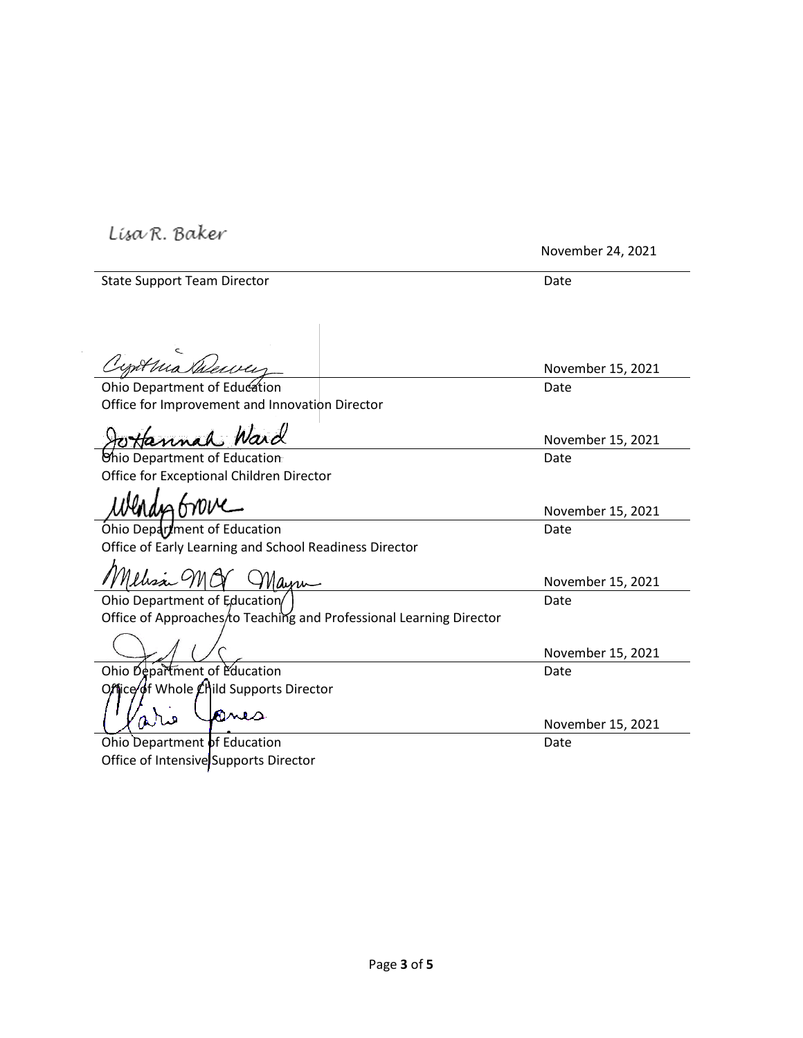Lisa R. Baker

November 24, 2021

| <b>State Support Team Director</b>                                  | Date              |
|---------------------------------------------------------------------|-------------------|
| Cypthia Dewer                                                       |                   |
|                                                                     | November 15, 2021 |
| Ohio Department of Education                                        | Date              |
| Office for Improvement and Innovation Director                      |                   |
| Jottannah Ward                                                      | November 15, 2021 |
| Chio Department of Education                                        | Date              |
| Office for Exceptional Children Director                            |                   |
|                                                                     | November 15, 2021 |
| Ohio Department of Education                                        | Date              |
| Office of Early Learning and School Readiness Director              |                   |
| Nelisa MOV Mayre                                                    | November 15, 2021 |
| Ohio Department of Education                                        | Date              |
| Office of Approaches/to Teaching and Professional Learning Director |                   |
|                                                                     | November 15, 2021 |
| Ohio Department of Education                                        | Date              |
| Office of Whole Child Supports Director                             |                   |
| mus                                                                 | November 15, 2021 |
| Ohio Department of Education                                        | Date              |
| Office of Intensive Supports Director                               |                   |
|                                                                     |                   |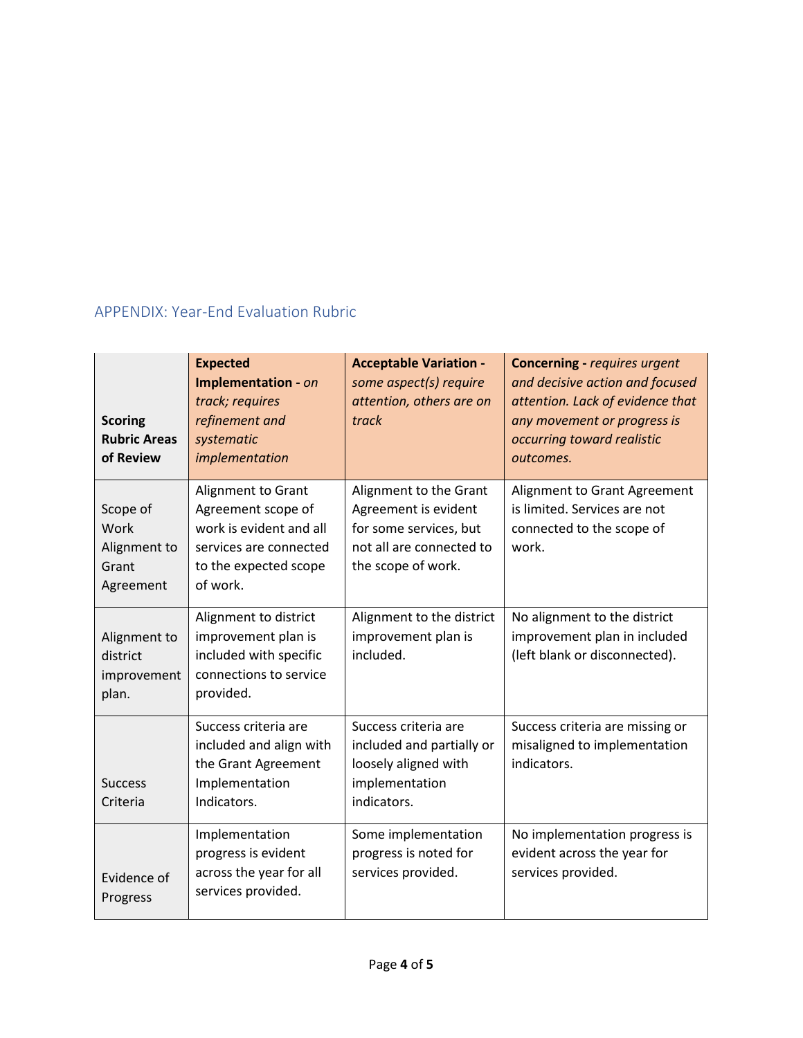## APPENDIX: Year-End Evaluation Rubric

| <b>Scoring</b><br><b>Rubric Areas</b><br>of Review     | <b>Expected</b><br><b>Implementation - on</b><br>track; requires<br>refinement and<br>systematic<br>implementation                        | <b>Acceptable Variation -</b><br>some aspect(s) require<br>attention, others are on<br>track                               | <b>Concerning - requires urgent</b><br>and decisive action and focused<br>attention. Lack of evidence that<br>any movement or progress is<br>occurring toward realistic<br>outcomes. |
|--------------------------------------------------------|-------------------------------------------------------------------------------------------------------------------------------------------|----------------------------------------------------------------------------------------------------------------------------|--------------------------------------------------------------------------------------------------------------------------------------------------------------------------------------|
| Scope of<br>Work<br>Alignment to<br>Grant<br>Agreement | <b>Alignment to Grant</b><br>Agreement scope of<br>work is evident and all<br>services are connected<br>to the expected scope<br>of work. | Alignment to the Grant<br>Agreement is evident<br>for some services, but<br>not all are connected to<br>the scope of work. | Alignment to Grant Agreement<br>is limited. Services are not<br>connected to the scope of<br>work.                                                                                   |
| Alignment to<br>district<br>improvement<br>plan.       | Alignment to district<br>improvement plan is<br>included with specific<br>connections to service<br>provided.                             | Alignment to the district<br>improvement plan is<br>included.                                                              | No alignment to the district<br>improvement plan in included<br>(left blank or disconnected).                                                                                        |
| <b>Success</b><br>Criteria                             | Success criteria are<br>included and align with<br>the Grant Agreement<br>Implementation<br>Indicators.                                   | Success criteria are<br>included and partially or<br>loosely aligned with<br>implementation<br>indicators.                 | Success criteria are missing or<br>misaligned to implementation<br>indicators.                                                                                                       |
| Evidence of<br>Progress                                | Implementation<br>progress is evident<br>across the year for all<br>services provided.                                                    | Some implementation<br>progress is noted for<br>services provided.                                                         | No implementation progress is<br>evident across the year for<br>services provided.                                                                                                   |